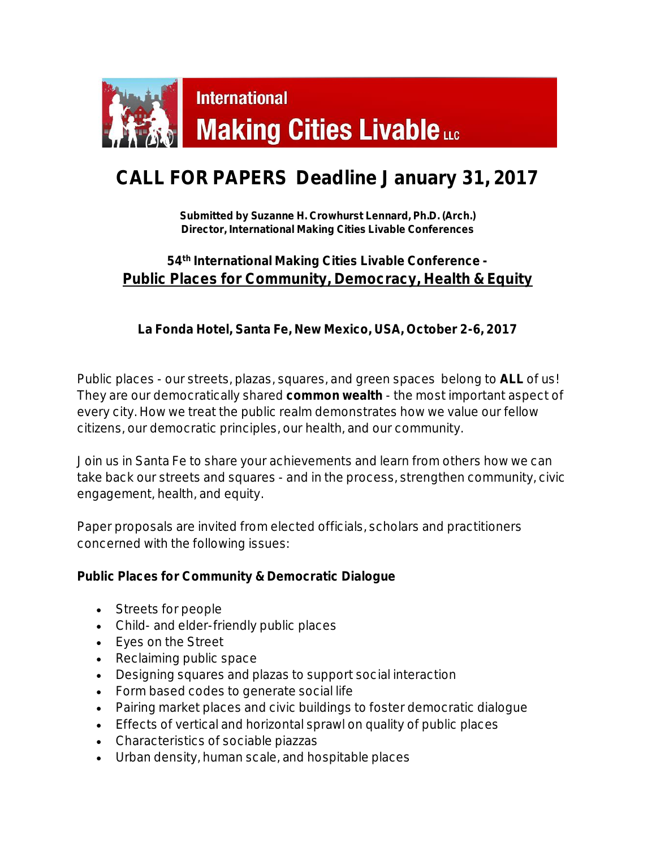

## **CALL FOR PAPERS Deadline January 31, 2017**

**Submitted by Suzanne H. Crowhurst Lennard, Ph.D. (Arch.) Director, International Making Cities Livable Conferences**

## **54th International Making Cities Livable Conference - Public Places for Community, Democracy, Health & Equity**

**La Fonda Hotel, Santa Fe, New Mexico, USA, October 2-6, 2017**

Public places - our streets, plazas, squares, and green spaces belong to **ALL** of us! They are our democratically shared **common wealth** - the most important aspect of every city. How we treat the public realm demonstrates how we value our fellow citizens, our democratic principles, our health, and our community.

Join us in Santa Fe to share your achievements and learn from others how we can take back our streets and squares - and in the process, strengthen community, civic engagement, health, and equity.

Paper proposals are invited from elected officials, scholars and practitioners concerned with the following issues:

**Public Places for Community & Democratic Dialogue**

- Streets for people
- Child- and elder-friendly public places
- Eyes on the Street
- Reclaiming public space
- Designing squares and plazas to support social interaction
- Form based codes to generate social life
- Pairing market places and civic buildings to foster democratic dialogue
- **Effects of vertical and horizontal sprawl on quality of public places**
- Characteristics of sociable piazzas
- Urban density, human scale, and hospitable places